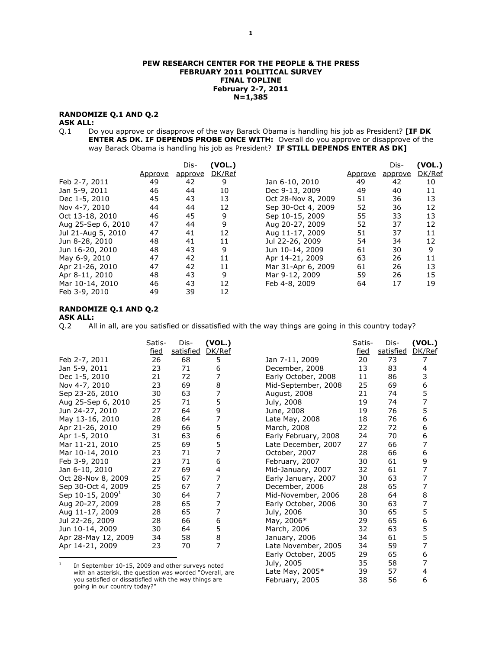#### PEW RESEARCH CENTER FOR THE PEOPLE & THE PRESS FEBRUARY 2011 POLITICAL SURVEY FINAL TOPLINE February 2-7, 2011 N=1,385

# RANDOMIZE Q.1 AND Q.2

**ASK ALL:**<br>Q.1 Do Do you approve or disapprove of the way Barack Obama is handling his job as President? [IF DK ENTER AS DK. IF DEPENDS PROBE ONCE WITH: Overall do you approve or disapprove of the way Barack Obama is handling his job as President? IF STILL DEPENDS ENTER AS DK]

|                    |         | Dis-    | (VOL.) |                    |         | Dis-    | (VOL.) |
|--------------------|---------|---------|--------|--------------------|---------|---------|--------|
|                    | Approve | approve | DK/Ref |                    | Approve | approve | DK/Ref |
| Feb 2-7, 2011      | 49      | 42      | 9      | Jan 6-10, 2010     | 49      | 42      | 10     |
| Jan 5-9, 2011      | 46      | 44      | 10     | Dec 9-13, 2009     | 49      | 40      | 11     |
| Dec 1-5, 2010      | 45      | 43      | 13     | Oct 28-Nov 8, 2009 | 51      | 36      | 13     |
| Nov 4-7, 2010      | 44      | 44      | 12     | Sep 30-Oct 4, 2009 | 52      | 36      | 12     |
| Oct 13-18, 2010    | 46      | 45      | 9      | Sep 10-15, 2009    | 55      | 33      | 13     |
| Aug 25-Sep 6, 2010 | 47      | 44      | 9      | Aug 20-27, 2009    | 52      | 37      | 12     |
| Jul 21-Aug 5, 2010 | 47      | 41      | 12     | Aug 11-17, 2009    | 51      | 37      | 11     |
| Jun 8-28, 2010     | 48      | 41      | 11     | Jul 22-26, 2009    | 54      | 34      | 12     |
| Jun 16-20, 2010    | 48      | 43      | 9      | Jun 10-14, 2009    | 61      | 30      | 9      |
| May 6-9, 2010      | 47      | 42      | 11     | Apr 14-21, 2009    | 63      | 26      | 11     |
| Apr 21-26, 2010    | 47      | 42      | 11     | Mar 31-Apr 6, 2009 | 61      | 26      | 13     |
| Apr 8-11, 2010     | 48      | 43      | 9      | Mar 9-12, 2009     | 59      | 26      | 15     |
| Mar 10-14, 2010    | 46      | 43      | 12     | Feb 4-8, 2009      | 64      | 17      | 19     |
| Feb 3-9, 2010      | 49      | 39      | 12     |                    |         |         |        |

# RANDOMIZE Q.1 AND Q.2

ASK ALL:

Q.2 All in all, are you satisfied or dissatisfied with the way things are going in this country today?

|                                                                                                           | Satis-            | Dis-<br>satisfied | (VOL.)      |                      | Satis-            | Dis-<br>satisfied | (VOL.) |
|-----------------------------------------------------------------------------------------------------------|-------------------|-------------------|-------------|----------------------|-------------------|-------------------|--------|
| Feb 2-7, 2011                                                                                             | <u>fied</u><br>26 | 68                | DK/Ref<br>5 | Jan 7-11, 2009       | <u>fied</u><br>20 | 73                | DK/Ref |
| Jan 5-9, 2011                                                                                             | 23                | 71                | 6           | December, 2008       | 13                | 83                | 4      |
| Dec 1-5, 2010                                                                                             | 21                | 72                |             | Early October, 2008  | 11                | 86                | 3      |
| Nov 4-7, 2010                                                                                             | 23                | 69                | 8           | Mid-September, 2008  | 25                | 69                | 6      |
| Sep 23-26, 2010                                                                                           | 30                | 63                | 7           | August, 2008         | 21                | 74                | 5      |
| Aug 25-Sep 6, 2010                                                                                        | 25                | 71                | 5           | July, 2008           | 19                | 74                | 7      |
| Jun 24-27, 2010                                                                                           | 27                | 64                | 9           | June, 2008           | 19                | 76                | 5      |
| May 13-16, 2010                                                                                           | 28                | 64                |             | Late May, 2008       | 18                | 76                | 6      |
| Apr 21-26, 2010                                                                                           | 29                | 66                | 5           | March, 2008          | 22                | 72                | 6      |
| Apr 1-5, 2010                                                                                             | 31                | 63                | 6           | Early February, 2008 | 24                | 70                | 6      |
| Mar 11-21, 2010                                                                                           | 25                | 69                | 5           | Late December, 2007  | 27                | 66                | 7      |
| Mar 10-14, 2010                                                                                           | 23                | 71                | 7           | October, 2007        | 28                | 66                | 6      |
| Feb 3-9, 2010                                                                                             | 23                | 71                | 6           | February, 2007       | 30                | 61                | 9      |
| Jan 6-10, 2010                                                                                            | 27                | 69                | 4           | Mid-January, 2007    | 32                | 61                | 7      |
| Oct 28-Nov 8, 2009                                                                                        | 25                | 67                | 7           | Early January, 2007  | 30                | 63                | 7      |
| Sep 30-Oct 4, 2009                                                                                        | 25                | 67                | 7           | December, 2006       | 28                | 65                | 7      |
| Sep 10-15, 2009 <sup>1</sup>                                                                              | 30                | 64                | 7           | Mid-November, 2006   | 28                | 64                | 8      |
| Aug 20-27, 2009                                                                                           | 28                | 65                | 7           | Early October, 2006  | 30                | 63                | 7      |
| Aug 11-17, 2009                                                                                           | 28                | 65                |             | July, 2006           | 30                | 65                | 5      |
| Jul 22-26, 2009                                                                                           | 28                | 66                | 6           | May, 2006*           | 29                | 65                | 6      |
| Jun 10-14, 2009                                                                                           | 30                | 64                | 5           | March, 2006          | 32                | 63                | 5      |
| Apr 28-May 12, 2009                                                                                       | 34                | 58                | 8           | January, 2006        | 34                | 61                | 5      |
| Apr 14-21, 2009                                                                                           | 23                | 70                | 7           | Late November, 2005  | 34                | 59                |        |
|                                                                                                           |                   |                   |             | Early October, 2005  | 29                | 65                | 6      |
| 1                                                                                                         |                   |                   |             | July, 2005           | 35                | 58                |        |
| In September 10-15, 2009 and other surveys noted<br>with an asterisk the question was worded "Overall are |                   |                   |             | Late Mav. 2005 $*$   | 39                | 57                | 4      |

Late May, 2005\* 39 57 4 February, 2005 38 56 6

<sup>1</sup> In September 10-15, 2009 and other surveys noted with an asterisk, the question was worded "Overall, are you satisfied or dissatisfied with the way things are going in our country today?"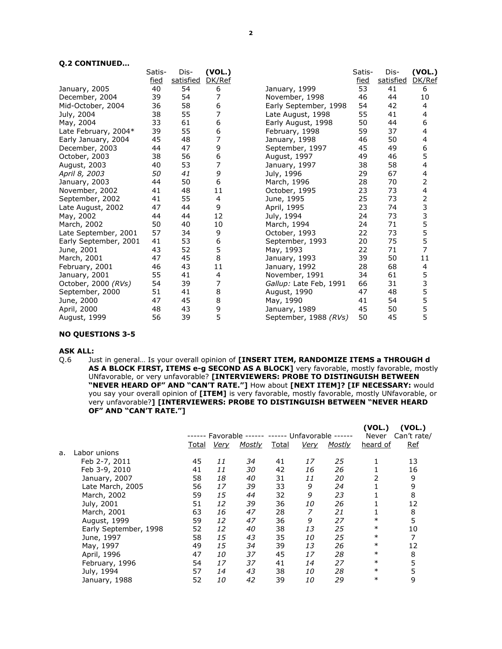#### Q.2 CONTINUED…

| Q.Z CONTINUED         |             |           |        |                        |        |           |                         |
|-----------------------|-------------|-----------|--------|------------------------|--------|-----------|-------------------------|
|                       | Satis-      | Dis-      | (VOL.) |                        | Satis- | Dis-      | (VOL.)                  |
|                       | <u>fied</u> | satisfied | DK/Ref |                        | fied   | satisfied | DK/Ref                  |
| January, 2005         | 40          | 54        | 6      | January, 1999          | 53     | 41        | 6                       |
| December, 2004        | 39          | 54        | 7      | November, 1998         | 46     | 44        | 10                      |
| Mid-October, 2004     | 36          | 58        | 6      | Early September, 1998  | 54     | 42        | 4                       |
| July, 2004            | 38          | 55        | 7      | Late August, 1998      | 55     | 41        | 4                       |
| May, 2004             | 33          | 61        | 6      | Early August, 1998     | 50     | 44        | 6                       |
| Late February, 2004*  | 39          | 55        | 6      | February, 1998         | 59     | 37        | 4                       |
| Early January, 2004   | 45          | 48        | 7      | January, 1998          | 46     | 50        | 4                       |
| December, 2003        | 44          | 47        | 9      | September, 1997        | 45     | 49        | 6                       |
| October, 2003         | 38          | 56        | 6      | August, 1997           | 49     | 46        | 5                       |
| August, 2003          | 40          | 53        | 7      | January, 1997          | 38     | 58        | 4                       |
| April 8, 2003         | 50          | 41        | 9      | July, 1996             | 29     | 67        | 4                       |
| January, 2003         | 44          | 50        | 6      | March, 1996            | 28     | 70        | 2                       |
| November, 2002        | 41          | 48        | 11     | October, 1995          | 23     | 73        | $\overline{\mathbf{4}}$ |
| September, 2002       | 41          | 55        | 4      | June, 1995             | 25     | 73        | 23355                   |
| Late August, 2002     | 47          | 44        | 9      | April, 1995            | 23     | 74        |                         |
| May, 2002             | 44          | 44        | 12     | July, 1994             | 24     | 73        |                         |
| March, 2002           | 50          | 40        | 10     | March, 1994            | 24     | 71        |                         |
| Late September, 2001  | 57          | 34        | 9      | October, 1993          | 22     | 73        |                         |
| Early September, 2001 | 41          | 53        | 6      | September, 1993        | 20     | 75        | 5                       |
| June, 2001            | 43          | 52        | 5      | May, 1993              | 22     | 71        | $\overline{7}$          |
| March, 2001           | 47          | 45        | 8      | January, 1993          | 39     | 50        | 11                      |
| February, 2001        | 46          | 43        | 11     | January, 1992          | 28     | 68        | 4                       |
| January, 2001         | 55          | 41        | 4      | November, 1991         | 34     | 61        | 5<br>3                  |
| October, 2000 (RVs)   | 54          | 39        | 7      | Gallup: Late Feb, 1991 | 66     | 31        |                         |
| September, 2000       | 51          | 41        | 8      | August, 1990           | 47     | 48        | 5<br>5                  |
| June, 2000            | 47          | 45        | 8      | May, 1990              | 41     | 54        |                         |
| April, 2000           | 48          | 43        | 9      | January, 1989          | 45     | 50        | 5                       |
| August, 1999          | 56          | 39        | 5      | September, 1988 (RVs)  | 50     | 45        | 5                       |
|                       |             |           |        |                        |        |           |                         |

# NO QUESTIONS 3-5

**ASK ALL:**<br>Q.6 Ju Just in general... Is your overall opinion of [INSERT ITEM, RANDOMIZE ITEMS a THROUGH d AS A BLOCK FIRST, ITEMS e-g SECOND AS A BLOCK] very favorable, mostly favorable, mostly UNfavorable, or very unfavorable? [INTERVIEWERS: PROBE TO DISTINGUISH BETWEEN "NEVER HEARD OF" AND "CAN'T RATE."] How about [NEXT ITEM]? [IF NECESSARY: would you say your overall opinion of [ITEM] is very favorable, mostly favorable, mostly UNfavorable, or very unfavorable?] [INTERVIEWERS: PROBE TO DISTINGUISH BETWEEN "NEVER HEARD OF" AND "CAN'T RATE."]

|    |                       |       |             |               |       |                 |               | (VOL.)   | (VOL.)      |
|----|-----------------------|-------|-------------|---------------|-------|-----------------|---------------|----------|-------------|
|    |                       |       | Favorable   |               |       | - Unfavorable - |               | Never    | Can't rate/ |
|    |                       | Total | <b>Very</b> | <b>Mostly</b> | Total | <b>Very</b>     | <b>Mostly</b> | heard of | Ref         |
| а. | Labor unions          |       |             |               |       |                 |               |          |             |
|    | Feb 2-7, 2011         | 45    | 11          | 34            | 41    | 17              | 25            |          | 13          |
|    | Feb 3-9, 2010         | 41    | 11          | 30            | 42    | 16              | 26            |          | 16          |
|    | January, 2007         | 58    | 18          | 40            | 31    | 11              | 20            | 2        | 9           |
|    | Late March, 2005      | 56    | 17          | 39            | 33    | 9               | 24            |          | 9           |
|    | March, 2002           | 59    | 15          | 44            | 32    | 9               | 23            |          | 8           |
|    | July, 2001            | 51    | 12          | 39            | 36    | 10              | 26            |          | 12          |
|    | March, 2001           | 63    | 16          | 47            | 28    | 7               | 21            |          | 8           |
|    | August, 1999          | 59    | 12          | 47            | 36    | 9               | 27            | $\ast$   | 5           |
|    | Early September, 1998 | 52    | 12          | 40            | 38    | 13              | 25            | $\ast$   | 10          |
|    | June, 1997            | 58    | 15          | 43            | 35    | 10              | 25            | $\ast$   | 7           |
|    | May, 1997             | 49    | 15          | 34            | 39    | 13              | 26            | $\ast$   | 12          |
|    | April, 1996           | 47    | 10          | 37            | 45    | 17              | 28            | $\ast$   | 8           |
|    | February, 1996        | 54    | 17          | 37            | 41    | 14              | 27            | $\ast$   | 5           |
|    | July, 1994            | 57    | 14          | 43            | 38    | 10              | 28            | $\ast$   | 5           |
|    | January, 1988         | 52    | 10          | 42            | 39    | <i>10</i>       | 29            | $\ast$   | 9           |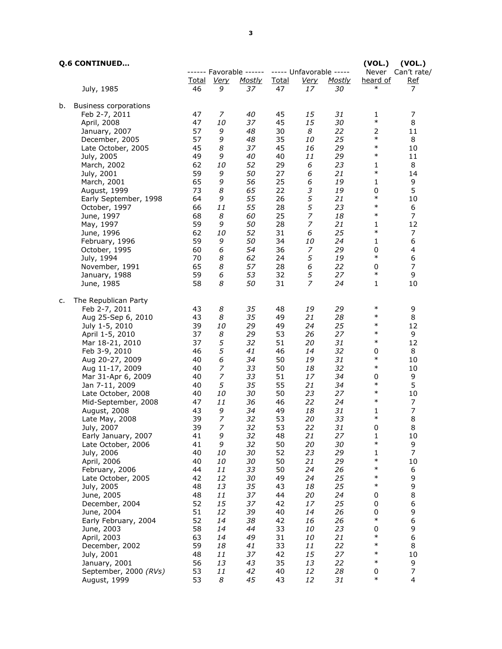|    | <b>Q.6 CONTINUED</b>                   |             |                  |                         |                    |                             |              | (VOL.)             | (VOL.)                  |
|----|----------------------------------------|-------------|------------------|-------------------------|--------------------|-----------------------------|--------------|--------------------|-------------------------|
|    |                                        |             |                  | ------ Favorable ------ |                    | ----- Unfavorable -----     |              |                    | Never Can't rate/       |
|    | July, 1985                             | Total<br>46 | Very<br>9        | <b>Mostly</b><br>37     | <u>Total</u><br>47 | <u>Very</u><br>17           | Mostly<br>30 | heard of<br>$\ast$ | <u>Ref</u><br>7         |
|    |                                        |             |                  |                         |                    |                             |              |                    |                         |
| b. | <b>Business corporations</b>           |             |                  |                         |                    |                             |              |                    |                         |
|    | Feb 2-7, 2011                          | 47          | 7                | 40                      | 45                 | 15                          | 31           | 1                  | 7                       |
|    | April, 2008                            | 47          | 10               | 37                      | 45                 | 15                          | 30           | $\ast$             | 8                       |
|    | January, 2007                          | 57          | 9                | 48                      | 30                 | 8                           | 22           | 2                  | 11                      |
|    | December, 2005                         | 57          | 9                | 48                      | 35                 | 10                          | 25           | $\ast$             | 8                       |
|    | Late October, 2005                     | 45          | 8                | 37                      | 45                 | 16                          | 29           | $\ast$             | 10                      |
|    | July, 2005                             | 49          | 9                | 40                      | 40                 | 11                          | 29           | $\ast$             | 11                      |
|    | March, 2002                            | 62          | 10               | 52                      | 29                 | 6                           | 23           | 1                  | 8                       |
|    | July, 2001                             | 59          | 9                | 50                      | 27                 | 6                           | 21           | $\ast$             | 14                      |
|    | March, 2001                            | 65          | 9                | 56                      | 25                 | 6                           | 19           | 1                  | 9                       |
|    | August, 1999                           | 73          | 8                | 65                      | 22                 | $\ensuremath{\mathfrak{Z}}$ | 19           | 0                  | 5                       |
|    | Early September, 1998                  | 64          | 9                | 55                      | 26                 | $\sqrt{5}$                  | 21           | $\ast$             | 10                      |
|    | October, 1997                          | 66          | 11               | 55                      | 28                 | 5                           | 23           | $\ast$             | 6                       |
|    | June, 1997                             | 68          | 8                | 60                      | 25                 | $\boldsymbol{7}$            | 18           | $\ast$             | 7                       |
|    | May, 1997                              | 59          | 9                | 50                      | 28                 | $\overline{z}$              | 21           | 1                  | 12                      |
|    | June, 1996                             | 62          | 10               | 52                      | 31                 | 6                           | 25           | $\ast$             | 7                       |
|    | February, 1996                         | 59          | 9                | 50                      | 34                 | 10                          | 24           | $\mathbf{1}$       | 6                       |
|    | October, 1995                          | 60          | 6                | 54                      | 36                 | 7                           | 29           | 0                  | 4                       |
|    | July, 1994                             | 70          | 8                | 62                      | 24                 | 5                           | 19           | $\ast$             | 6                       |
|    | November, 1991                         | 65          | 8                | 57                      | 28                 | 6                           | 22           | 0                  | $\overline{7}$          |
|    | January, 1988                          | 59          | 6                | 53                      | 32                 | 5                           | 27           | $\ast$             | 9                       |
|    | June, 1985                             | 58          | 8                | 50                      | 31                 | $\overline{z}$              | 24           | 1                  | 10                      |
|    |                                        |             |                  |                         |                    |                             |              |                    |                         |
| c. | The Republican Party                   |             |                  |                         |                    |                             |              |                    |                         |
|    | Feb 2-7, 2011                          | 43          | 8                | 35                      | 48                 | 19                          | 29           | $\ast$             | 9                       |
|    | Aug 25-Sep 6, 2010                     | 43          | 8                | 35                      | 49                 | 21                          | 28           | $\ast$             | 8                       |
|    | July 1-5, 2010                         | 39          | 10               | 29                      | 49                 | 24                          | 25           | $\ast$             | 12                      |
|    | April 1-5, 2010                        | 37          | 8                | 29                      | 53                 | 26                          | 27           | $\ast$             | 9                       |
|    | Mar 18-21, 2010                        | 37          | 5                | 32                      | 51                 | 20                          | 31           | $\ast$             | 12                      |
|    | Feb 3-9, 2010                          | 46          | 5                | 41                      | 46                 | 14                          | 32           | 0                  | 8                       |
|    | Aug 20-27, 2009                        | 40          | 6                | 34                      | 50                 | 19                          | 31           | $\ast$             | 10                      |
|    | Aug 11-17, 2009                        | 40          | $\boldsymbol{7}$ | 33                      | 50                 | 18                          | 32           | $\ast$             | 10                      |
|    | Mar 31-Apr 6, 2009                     | 40          | $\overline{z}$   | 33                      | 51                 | 17                          | 34           | 0                  | 9                       |
|    | Jan 7-11, 2009                         | 40          | 5                | 35                      | 55                 | 21                          | 34           | $\ast$             | 5                       |
|    | Late October, 2008                     | 40          | 10               | 30                      | 50                 | 23                          | 27           | $\ast$             | 10                      |
|    | Mid-September, 2008                    | 47          | 11               | 36                      | 46                 | 22                          | 24           | $\ast$             | 7                       |
|    | August, 2008                           | 43          | 9                | 34                      | 49                 | 18                          | 31           | 1                  | $\boldsymbol{7}$        |
|    | Late May, 2008                         | 39          | $\overline{z}$   | 32                      | 53                 | 20                          | 33           | $\ast$             | 8                       |
|    | July, 2007                             | 39          | 7                | 32                      | 53                 | 22                          | 31           | 0                  | 8                       |
|    | Early January, 2007                    | 41          | 9                | 32                      | 48                 | 21                          | 27           | 1                  | 10                      |
|    | Late October, 2006                     | 41          | 9                | 32                      | 50                 | 20                          | 30           | $\ast$             | 9                       |
|    | July, 2006                             | 40          | 10               | 30                      | 52                 | 23                          | 29           | $\mathbf{1}$       | $\overline{7}$          |
|    | April, 2006                            | 40          | 10               | 30                      | 50                 | 21                          | 29           | $\ast$             | 10                      |
|    | February, 2006                         | 44          | 11               | 33                      | 50                 | 24                          | 26           | $\ast$             | 6                       |
|    | Late October, 2005                     | 42          | 12               | 30                      | 49                 | 24                          | 25           | $\ast$             | 9                       |
|    | July, 2005                             | 48          | 13               | 35                      | 43                 | 18                          | 25           | $\ast$             | 9                       |
|    | June, 2005                             | 48          | 11               | 37                      | 44                 | 20                          | 24           | 0                  | 8                       |
|    | December, 2004                         | 52          | 15               | 37                      | 42                 | 17                          | 25           | 0                  | 6                       |
|    | June, 2004                             | 51          | 12               | 39                      | 40                 | 14                          | 26           | 0                  | 9                       |
|    | Early February, 2004                   | 52          | 14               | 38                      | 42                 | 16                          | 26           | $\ast$             | 6                       |
|    | June, 2003                             | 58          | 14               | 44                      | 33                 | 10                          | 23           | 0                  | 9                       |
|    | April, 2003                            | 63          | 14               | 49                      | 31                 | 10                          | 21           | $\ast$             | 6                       |
|    | December, 2002                         | 59          | 18               | 41                      | 33                 | 11                          | 22           | $\ast$             | 8                       |
|    | July, 2001                             |             |                  |                         |                    |                             | 27           | $\ast$             |                         |
|    |                                        | 48<br>56    | 11<br>13         | 37                      | 42<br>35           | 15<br>13                    | 22           | $\ast$             | 10<br>9                 |
|    | January, 2001<br>September, 2000 (RVs) | 53          | 11               | 43<br>42                | 40                 | 12                          | 28           | 0                  | $\boldsymbol{7}$        |
|    | August, 1999                           | 53          | 8                | 45                      | 43                 | 12                          | 31           | $\ast$             | $\overline{\mathbf{4}}$ |
|    |                                        |             |                  |                         |                    |                             |              |                    |                         |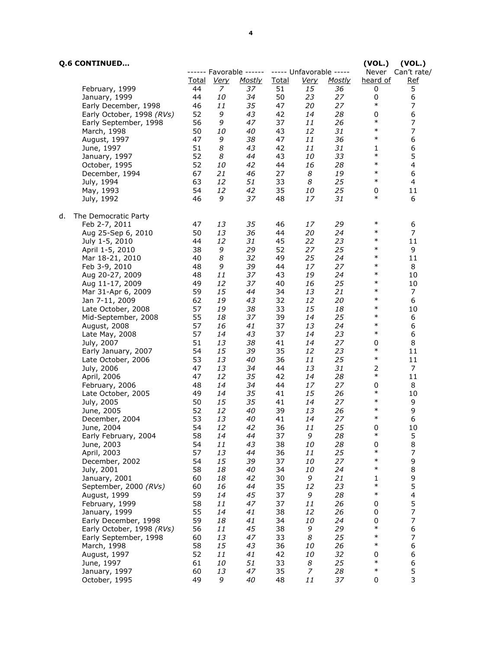|    | <b>Q.6 CONTINUED</b>                      |          |             |                         |          |                         |          | (VOL.)           | (VOL.)                        |
|----|-------------------------------------------|----------|-------------|-------------------------|----------|-------------------------|----------|------------------|-------------------------------|
|    |                                           |          |             | ------ Favorable ------ |          | ----- Unfavorable ----- |          |                  | Never Can't rate/             |
|    |                                           | Total    | <u>Very</u> | <u>Mostly</u>           | Total    | <u>Very</u>             | Mostly   | heard of         | <u>Ref</u>                    |
|    | February, 1999<br>January, 1999           | 44<br>44 | 7<br>10     | 37<br>34                | 51<br>50 | 15<br>23                | 36<br>27 | 0<br>0           | 5<br>6                        |
|    | Early December, 1998                      | 46       | 11          | 35                      | 47       | 20                      | 27       | $\ast$           | $\overline{7}$                |
|    | Early October, 1998 (RVs)                 | 52       | 9           | 43                      | 42       | 14                      | 28       | 0                | 6                             |
|    | Early September, 1998                     | 56       | 9           | 47                      | 37       | 11                      | 26       | $\ast$           | $\overline{7}$                |
|    | March, 1998                               | 50       | 10          | 40                      | 43       | 12                      | 31       | $\ast$           | $\boldsymbol{7}$              |
|    | August, 1997                              | 47       | 9           | 38                      | 47       | 11                      | 36       | $\ast$           | 6                             |
|    | June, 1997                                | 51       | 8           | 43                      | 42       | 11                      | 31       | 1                | 6                             |
|    | January, 1997                             | 52       | 8           | 44                      | 43       | 10                      | 33       | $\ast$<br>$\ast$ | 5                             |
|    | October, 1995                             | 52<br>67 | 10<br>21    | 42<br>46                | 44<br>27 | 16<br>8                 | 28<br>19 | $\ast$           | $\overline{\mathcal{A}}$<br>6 |
|    | December, 1994<br>July, 1994              | 63       | 12          | 51                      | 33       | 8                       | 25       | $\ast$           | $\overline{\mathbf{4}}$       |
|    | May, 1993                                 | 54       | 12          | 42                      | 35       | 10                      | 25       | 0                | 11                            |
|    | July, 1992                                | 46       | 9           | 37                      | 48       | 17                      | 31       | $\ast$           | 6                             |
| d. | The Democratic Party                      |          |             |                         |          |                         |          |                  |                               |
|    | Feb 2-7, 2011                             | 47       | 13          | 35                      | 46       | 17                      | 29       | $\ast$           | 6                             |
|    | Aug 25-Sep 6, 2010                        | 50       | 13          | 36                      | 44       | 20                      | 24       | $\ast$           | 7                             |
|    | July 1-5, 2010                            | 44       | 12          | 31                      | 45       | 22                      | 23       | $\ast$           | 11                            |
|    | April 1-5, 2010                           | 38       | 9           | 29                      | 52       | 27                      | 25       | $\ast$           | 9                             |
|    | Mar 18-21, 2010                           | 40       | 8           | 32                      | 49       | 25                      | 24       | $\ast$           | 11                            |
|    | Feb 3-9, 2010                             | 48       | 9           | 39                      | 44       | 17                      | 27       | $\ast$<br>$\ast$ | 8                             |
|    | Aug 20-27, 2009<br>Aug 11-17, 2009        | 48<br>49 | 11<br>12    | 37<br>37                | 43<br>40 | 19<br>16                | 24<br>25 | $\ast$           | 10<br>10                      |
|    | Mar 31-Apr 6, 2009                        | 59       | 15          | 44                      | 34       | 13                      | 21       | $\ast$           | 7                             |
|    | Jan 7-11, 2009                            | 62       | 19          | 43                      | 32       | 12                      | 20       | $\ast$           | 6                             |
|    | Late October, 2008                        | 57       | 19          | 38                      | 33       | 15                      | 18       | $\ast$           | 10                            |
|    | Mid-September, 2008                       | 55       | 18          | 37                      | 39       | 14                      | 25       | $\ast$           | 6                             |
|    | August, 2008                              | 57       | 16          | 41                      | 37       | 13                      | 24       | $\ast$           | 6                             |
|    | Late May, 2008                            | 57       | 14          | 43                      | 37       | 14                      | 23       | $\ast$           | 6                             |
|    | July, 2007                                | 51       | 13          | 38                      | 41       | 14                      | 27       | 0<br>$\ast$      | 8                             |
|    | Early January, 2007<br>Late October, 2006 | 54<br>53 | 15<br>13    | 39<br>40                | 35<br>36 | 12<br>11                | 23<br>25 | $\ast$           | 11<br>11                      |
|    | July, 2006                                | 47       | 13          | 34                      | 44       | 13                      | 31       | $\overline{2}$   | 7                             |
|    | April, 2006                               | 47       | 12          | 35                      | 42       | 14                      | 28       | $\ast$           | 11                            |
|    | February, 2006                            | 48       | 14          | 34                      | 44       | 17                      | 27       | 0                | 8                             |
|    | Late October, 2005                        | 49       | 14          | 35                      | 41       | 15                      | 26       | $\ast$           | 10                            |
|    | July, 2005                                | 50       | 15          | 35                      | 41       | 14                      | 27       | $\ast$           | 9                             |
|    | June, 2005                                | 52       | 12          | 40                      | 39       | 13                      | 26       | $\ast$<br>$\ast$ | 9                             |
|    | December, 2004<br>June, 2004              | 53<br>54 | 13<br>12    | 40                      | 41<br>36 | 14<br>11                | 27<br>25 | 0                | 6<br>$10\,$                   |
|    | Early February, 2004                      | 58       | 14          | 42<br>44                | 37       | 9                       | 28       | $\ast$           | 5                             |
|    | June, 2003                                | 54       | 11          | 43                      | 38       | 10                      | 28       | 0                | 8                             |
|    | April, 2003                               | 57       | 13          | 44                      | 36       | 11                      | 25       | $\ast$           | $\overline{7}$                |
|    | December, 2002                            | 54       | 15          | 39                      | 37       | 10                      | 27       | $\ast$           | 9                             |
|    | July, 2001                                | 58       | 18          | 40                      | 34       | 10                      | 24       | $\ast$           | 8                             |
|    | January, 2001                             | 60       | 18          | 42                      | 30       | 9                       | 21       | 1                | 9                             |
|    | September, 2000 (RVs)                     | 60       | 16          | 44                      | 35       | 12                      | 23       | $\ast$<br>$\ast$ | 5                             |
|    | August, 1999<br>February, 1999            | 59<br>58 | 14<br>11    | 45<br>47                | 37<br>37 | 9<br>11                 | 28<br>26 | 0                | $\overline{\mathbf{4}}$<br>5  |
|    | January, 1999                             | 55       | 14          | 41                      | 38       | 12                      | 26       | 0                | $\overline{7}$                |
|    | Early December, 1998                      | 59       | 18          | 41                      | 34       | 10                      | 24       | 0                | $\overline{7}$                |
|    | Early October, 1998 (RVs)                 | 56       | 11          | 45                      | 38       | 9                       | 29       | $\ast$           | 6                             |
|    | Early September, 1998                     | 60       | 13          | 47                      | 33       | 8                       | 25       | $\ast$           | $\overline{7}$                |
|    | March, 1998                               | 58       | 15          | 43                      | 36       | 10                      | 26       | $\ast$           | 6                             |
|    | August, 1997                              | 52       | 11          | 41                      | 42       | 10                      | 32       | 0<br>$\ast$      | 6                             |
|    | June, 1997<br>January, 1997               | 61<br>60 | 10<br>13    | 51<br>47                | 33<br>35 | 8<br>7                  | 25<br>28 | $\ast$           | $\boldsymbol{6}$<br>5         |
|    | October, 1995                             | 49       | 9           | 40                      | 48       | 11                      | 37       | 0                | 3                             |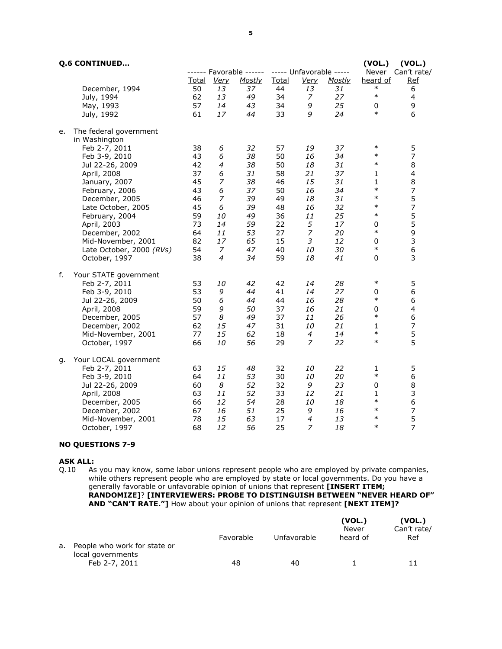|    | <b>Q.6 CONTINUED</b>                                                                                                                                                 |                                              |                                          |                                              |                                              |                                                  |                                              | (VOL.)                                                                             | (VOL.)                                                                                       |
|----|----------------------------------------------------------------------------------------------------------------------------------------------------------------------|----------------------------------------------|------------------------------------------|----------------------------------------------|----------------------------------------------|--------------------------------------------------|----------------------------------------------|------------------------------------------------------------------------------------|----------------------------------------------------------------------------------------------|
|    |                                                                                                                                                                      |                                              |                                          | ------ Favorable ------                      |                                              | ----- Unfavorable -----                          |                                              |                                                                                    | Never Can't rate/                                                                            |
|    |                                                                                                                                                                      | Total                                        | <u>Very</u>                              | <b>Mostly</b>                                | Total                                        | <u>Very</u>                                      | <b>Mostly</b>                                | heard of                                                                           | <u>Ref</u>                                                                                   |
|    | December, 1994                                                                                                                                                       | 50                                           | 13                                       | 37                                           | 44                                           | 13                                               | 31                                           | $\ast$                                                                             | 6                                                                                            |
|    | July, 1994                                                                                                                                                           | 62                                           | 13                                       | 49                                           | 34                                           | 7                                                | 27                                           | $\ast$                                                                             | $\overline{\mathcal{A}}$                                                                     |
|    | May, 1993                                                                                                                                                            | 57                                           | 14                                       | 43                                           | 34                                           | 9                                                | 25                                           | 0                                                                                  | 9                                                                                            |
|    | July, 1992                                                                                                                                                           | 61                                           | 17                                       | 44                                           | 33                                           | 9                                                | 24                                           | $\ast$                                                                             | 6                                                                                            |
| е. | The federal government<br>in Washington<br>Feb 2-7, 2011                                                                                                             | 38                                           | 6                                        | 32                                           | 57                                           | 19                                               | 37                                           | $\ast$<br>$\ast$                                                                   | 5                                                                                            |
|    | Feb 3-9, 2010                                                                                                                                                        | 43                                           | 6                                        | 38                                           | 50                                           | 16                                               | 34                                           |                                                                                    | $\overline{7}$                                                                               |
|    | Jul 22-26, 2009                                                                                                                                                      | 42                                           | 4                                        | 38                                           | 50                                           | 18                                               | 31                                           | $\ast$                                                                             | 8                                                                                            |
|    | April, 2008                                                                                                                                                          | 37                                           | 6                                        | 31                                           | 58                                           | 21                                               | 37                                           | $\mathbf{1}$                                                                       | $\overline{\mathcal{A}}$                                                                     |
|    | January, 2007                                                                                                                                                        | 45                                           | $\overline{z}$                           | 38                                           | 46                                           | 15                                               | 31                                           | $\mathbf{1}$                                                                       | 8                                                                                            |
|    | February, 2006                                                                                                                                                       | 43                                           | 6                                        | 37                                           | 50                                           | 16                                               | 34                                           | $\ast$                                                                             | $\overline{\phantom{a}}$                                                                     |
|    | December, 2005                                                                                                                                                       | 46                                           | $\overline{7}$                           | 39                                           | 49                                           | 18                                               | 31                                           | $\ast$                                                                             | 5                                                                                            |
|    | Late October, 2005                                                                                                                                                   | 45                                           | 6                                        | 39                                           | 48                                           | 16                                               | 32                                           | $\ast$                                                                             | $\overline{\phantom{a}}$                                                                     |
|    | February, 2004                                                                                                                                                       | 59                                           | 10                                       | 49                                           | 36                                           | 11                                               | 25                                           | $\ast$                                                                             | 5                                                                                            |
|    | April, 2003                                                                                                                                                          | 73                                           | 14                                       | 59                                           | 22                                           | 5                                                | 17                                           | $\mathbf 0$                                                                        | 5                                                                                            |
|    | December, 2002                                                                                                                                                       | 64                                           | 11                                       | 53                                           | 27                                           | $\overline{z}$                                   | 20                                           | $\ast$                                                                             | 9                                                                                            |
|    | Mid-November, 2001                                                                                                                                                   | 82                                           | 17                                       | 65                                           | 15                                           | $\mathfrak{Z}$                                   | 12                                           | $\mathbf 0$<br>$\ast$                                                              | $\mathsf 3$                                                                                  |
|    | Late October, 2000 (RVs)                                                                                                                                             | 54                                           | 7                                        | 47                                           | 40                                           | 10                                               | 30                                           |                                                                                    | $\boldsymbol{6}$                                                                             |
|    | October, 1997                                                                                                                                                        | 38                                           | $\overline{4}$                           | 34                                           | 59                                           | 18                                               | 41                                           | 0                                                                                  | 3                                                                                            |
| f. | Your STATE government<br>Feb 2-7, 2011<br>Feb 3-9, 2010<br>Jul 22-26, 2009<br>April, 2008<br>December, 2005<br>December, 2002<br>Mid-November, 2001<br>October, 1997 | 53<br>53<br>50<br>59<br>57<br>62<br>77<br>66 | 10<br>9<br>6<br>9<br>8<br>15<br>15<br>10 | 42<br>44<br>44<br>50<br>49<br>47<br>62<br>56 | 42<br>41<br>44<br>37<br>37<br>31<br>18<br>29 | 14<br>14<br>16<br>16<br>11<br>10<br>4<br>7       | 28<br>27<br>28<br>21<br>26<br>21<br>14<br>22 | $\ast$<br>$\mathbf 0$<br>$\ast$<br>0<br>$\ast$<br>$\mathbf{1}$<br>$\ast$<br>$\ast$ | 5<br>6<br>6<br>$\overline{\mathbf{4}}$<br>6<br>$\overline{7}$<br>5<br>5                      |
| q. | Your LOCAL government                                                                                                                                                |                                              |                                          |                                              |                                              |                                                  |                                              |                                                                                    |                                                                                              |
|    | Feb 2-7, 2011<br>Feb 3-9, 2010<br>Jul 22-26, 2009<br>April, 2008<br>December, 2005<br>December, 2002<br>Mid-November, 2001                                           | 63<br>64<br>60<br>63<br>66<br>67<br>78       | 15<br>11<br>8<br>11<br>12<br>16<br>15    | 48<br>53<br>52<br>52<br>54<br>51<br>63       | 32<br>30<br>32<br>33<br>28<br>25<br>17       | 10<br>10<br>9<br>12<br>10<br>9<br>$\overline{4}$ | 22<br>20<br>23<br>21<br>18<br>16<br>13       | 1<br>$\ast$<br>$\mathbf 0$<br>$\mathbf{1}$<br>$\ast$<br>$\ast$<br>$\ast$           | 5<br>$\boldsymbol{6}$<br>8<br>3<br>$\boldsymbol{6}$<br>$\begin{array}{c} 7 \\ 5 \end{array}$ |
|    | October, 1997                                                                                                                                                        | 68                                           | 12                                       | 56                                           | 25                                           | $\overline{z}$                                   | 18                                           | $\ast$                                                                             | $\overline{7}$                                                                               |

# NO QUESTIONS 7-9

# **ASK ALL:**<br>Q.10 As

As you may know, some labor unions represent people who are employed by private companies, while others represent people who are employed by state or local governments. Do you have a generally favorable or unfavorable opinion of unions that represent **[INSERT ITEM;** RANDOMIZE]? [INTERVIEWERS: PROBE TO DISTINGUISH BETWEEN "NEVER HEARD OF" AND "CAN'T RATE."] How about your opinion of unions that represent [NEXT ITEM]?

|    |                                                                    | Favorable | Unfavorable | (VOL.)<br>Never<br>heard of | (VOL.)<br>Can't rate/<br><u>Ref</u> |
|----|--------------------------------------------------------------------|-----------|-------------|-----------------------------|-------------------------------------|
| a. | People who work for state or<br>local governments<br>Feb 2-7, 2011 | 48        | 40          |                             |                                     |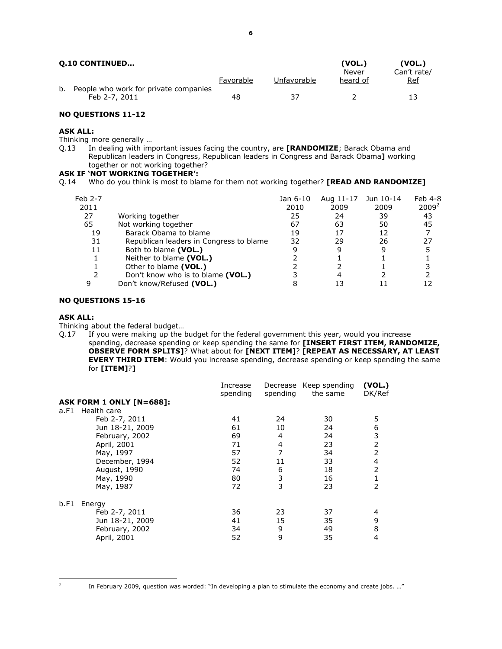|    | <b>Q.10 CONTINUED</b>                 | (VOL.)<br>(VOL.)<br>Can't rate/<br>Never |             |          |     |  |
|----|---------------------------------------|------------------------------------------|-------------|----------|-----|--|
| b. | People who work for private companies | Favorable                                | Unfavorable | heard of | Ref |  |
|    | Feb 2-7, 2011                         | 48                                       | 37          |          |     |  |

# NO QUESTIONS 11-12

#### ASK ALL:

Thinking more generally ...<br>Q.13 In dealing with imp In dealing with important issues facing the country, are [RANDOMIZE; Barack Obama and Republican leaders in Congress, Republican leaders in Congress and Barack Obama] working together or not working together?

# ASK IF 'NOT WORKING TOGETHER':

Q.14 Who do you think is most to blame for them not working together? **[READ AND RANDOMIZE]** 

| Feb 2-7 |                                         | Jan 6-10 | Aug 11-17 | Jun 10-14 | Feb 4-8  |
|---------|-----------------------------------------|----------|-----------|-----------|----------|
| 2011    |                                         | 2010     | 2009      | 2009      | $2009^2$ |
| 27      | Working together                        | 25       | 24        | 39        | 43       |
| 65      | Not working together                    | 67       | 63        | 50        | 45       |
| 19      | Barack Obama to blame                   | 19       | 17        | 12        |          |
| 31      | Republican leaders in Congress to blame | 32       | 29        | 26        | 27       |
| 11      | Both to blame (VOL.)                    | 9        | 9         | 9         |          |
|         | Neither to blame (VOL.)                 |          |           |           |          |
|         | Other to blame (VOL.)                   |          |           |           |          |
|         | Don't know who is to blame (VOL.)       |          |           |           |          |
| 9       | Don't know/Refused (VOL.)               |          | 13        |           |          |
|         |                                         |          |           |           |          |

#### NO QUESTIONS 15-16

#### ASK ALL:

Thinking about the federal budget…

Q.17 If you were making up the budget for the federal government this year, would you increase spending, decrease spending or keep spending the same for [INSERT FIRST ITEM, RANDOMIZE, OBSERVE FORM SPLITS]? What about for [NEXT ITEM]? [REPEAT AS NECESSARY, AT LEAST **EVERY THIRD ITEM**: Would you increase spending, decrease spending or keep spending the same for [ITEM]?]

|      |                                 | Increase<br>spending | Decrease<br>spending | Keep spending<br>the same | (VOL.)<br>DK/Ref |
|------|---------------------------------|----------------------|----------------------|---------------------------|------------------|
|      | <b>ASK FORM 1 ONLY [N=688]:</b> |                      |                      |                           |                  |
| a.F1 | Health care                     |                      |                      |                           |                  |
|      | Feb 2-7, 2011                   | 41                   | 24                   | 30                        | 5                |
|      | Jun 18-21, 2009                 | 61                   | 10                   | 24                        | 6                |
|      | February, 2002                  | 69                   | 4                    | 24                        | 3                |
|      | April, 2001                     | 71                   | 4                    | 23                        | 2                |
|      | May, 1997                       | 57                   | 7                    | 34                        | 2                |
|      | December, 1994                  | 52                   | 11                   | 33                        | 4                |
|      | August, 1990                    | 74                   | 6                    | 18                        | 2                |
|      | May, 1990                       | 80                   | 3                    | 16                        |                  |
|      | May, 1987                       | 72                   | 3                    | 23                        | 2                |
| b.F1 | Energy                          |                      |                      |                           |                  |
|      | Feb 2-7, 2011                   | 36                   | 23                   | 37                        | 4                |
|      | Jun 18-21, 2009                 | 41                   | 15                   | 35                        | 9                |
|      | February, 2002                  | 34                   | 9                    | 49                        | 8                |
|      | April, 2001                     | 52                   | 9                    | 35                        | 4                |

In February 2009, question was worded: "In developing a plan to stimulate the economy and create jobs. …"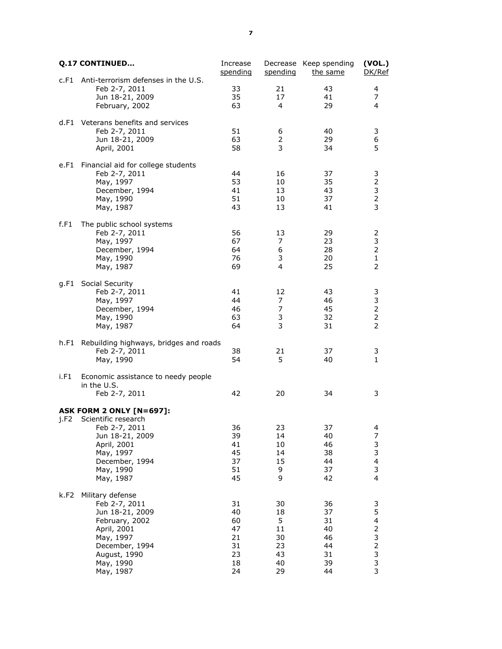|      | <b>Q.17 CONTINUED</b>                                                                                                                                              | Increase<br>spending                               | spending                                          | Decrease Keep spending<br>the same                 | (VOL.)<br>DK/Ref                                       |
|------|--------------------------------------------------------------------------------------------------------------------------------------------------------------------|----------------------------------------------------|---------------------------------------------------|----------------------------------------------------|--------------------------------------------------------|
| c.F1 | Anti-terrorism defenses in the U.S.<br>Feb 2-7, 2011<br>Jun 18-21, 2009<br>February, 2002                                                                          | 33<br>35<br>63                                     | 21<br>17<br>4                                     | 43<br>41<br>29                                     | 4<br>7<br>4                                            |
|      | d.F1 Veterans benefits and services<br>Feb 2-7, 2011<br>Jun 18-21, 2009<br>April, 2001                                                                             | 51<br>63<br>58                                     | 6<br>$\overline{2}$<br>3                          | 40<br>29<br>34                                     | 3<br>6<br>5                                            |
| e.F1 | Financial aid for college students<br>Feb 2-7, 2011<br>May, 1997<br>December, 1994<br>May, 1990<br>May, 1987                                                       | 44<br>53<br>41<br>51<br>43                         | 16<br>10<br>13<br>10<br>13                        | 37<br>35<br>43<br>37<br>41                         | 3<br>2<br>3<br>$\overline{2}$<br>3                     |
| f.F1 | The public school systems<br>Feb 2-7, 2011<br>May, 1997<br>December, 1994<br>May, 1990<br>May, 1987                                                                | 56<br>67<br>64<br>76<br>69                         | 13<br>7<br>6<br>3<br>4                            | 29<br>23<br>28<br>20<br>25                         | 2<br>3<br>2<br>$\mathbf{1}$<br>$\overline{2}$          |
| g.F1 | Social Security<br>Feb 2-7, 2011<br>May, 1997<br>December, 1994<br>May, 1990<br>May, 1987                                                                          | 41<br>44<br>46<br>63<br>64                         | 12<br>7<br>7<br>3<br>3                            | 43<br>46<br>45<br>32<br>31                         | 3<br>3<br>$\overline{2}$<br>2<br>$\overline{2}$        |
| h.F1 | Rebuilding highways, bridges and roads<br>Feb 2-7, 2011<br>May, 1990                                                                                               | 38<br>54                                           | 21<br>5                                           | 37<br>40                                           | 3<br>$\mathbf{1}$                                      |
| i.F1 | Economic assistance to needy people<br>in the U.S.<br>Feb 2-7, 2011                                                                                                | 42                                                 | 20                                                | 34                                                 | 3                                                      |
| i.F2 | <b>ASK FORM 2 ONLY [N=697]:</b><br>Scientific research<br>Feb 2-7, 2011<br>Jun 18-21, 2009<br>April, 2001<br>May, 1997<br>December, 1994<br>May, 1990<br>May, 1987 | 36<br>39<br>41<br>45<br>37<br>51<br>45             | 23<br>14<br>10<br>14<br>15<br>9<br>9              | 37<br>40<br>46<br>38<br>44<br>37<br>42             | 4<br>7<br>3<br>3<br>4<br>3<br>4                        |
| k.F2 | Military defense<br>Feb 2-7, 2011<br>Jun 18-21, 2009<br>February, 2002<br>April, 2001<br>May, 1997<br>December, 1994<br>August, 1990<br>May, 1990<br>May, 1987     | 31<br>40<br>60<br>47<br>21<br>31<br>23<br>18<br>24 | 30<br>18<br>5<br>11<br>30<br>23<br>43<br>40<br>29 | 36<br>37<br>31<br>40<br>46<br>44<br>31<br>39<br>44 | 3<br>5<br>4<br>2<br>3<br>$\overline{c}$<br>3<br>3<br>3 |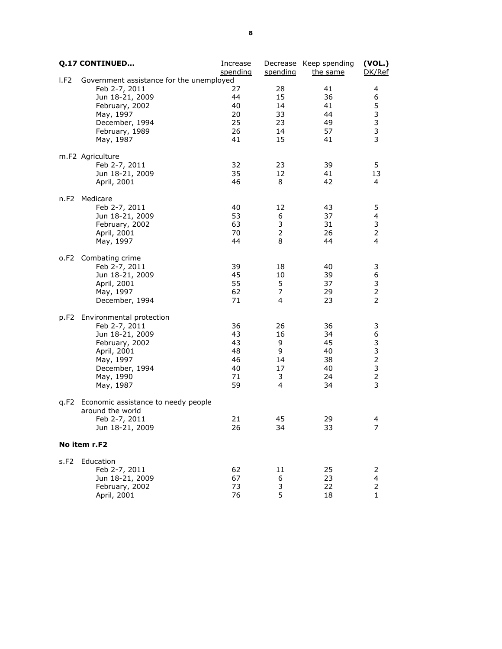|      | <b>Q.17 CONTINUED</b>                    | Increase |                | Decrease Keep spending | (VOL.)           |
|------|------------------------------------------|----------|----------------|------------------------|------------------|
| I.F2 | Government assistance for the unemployed | spending | spending       | the same               | DK/Ref           |
|      | Feb 2-7, 2011                            | 27       | 28             | 41                     | 4                |
|      | Jun 18-21, 2009                          | 44       | 15             | 36                     | 6                |
|      | February, 2002                           | 40       | 14             | 41                     | 5                |
|      | May, 1997                                | 20       | 33             | 44                     | 3                |
|      | December, 1994                           | 25       | 23             | 49                     | $\mathsf 3$      |
|      | February, 1989                           | 26       | 14             | 57                     | 3                |
|      | May, 1987                                | 41       | 15             | 41                     | 3                |
|      | m.F2 Agriculture                         |          |                |                        |                  |
|      | Feb 2-7, 2011                            | 32       | 23             | 39                     | 5                |
|      | Jun 18-21, 2009                          | 35       | 12             | 41                     | 13               |
|      | April, 2001                              | 46       | 8              | 42                     | 4                |
|      | n.F2 Medicare                            |          |                |                        |                  |
|      | Feb 2-7, 2011                            | 40       | 12             | 43                     | 5                |
|      | Jun 18-21, 2009                          | 53       | 6              | 37                     | 4                |
|      | February, 2002                           | 63       | 3              | 31                     | 3                |
|      | April, 2001                              | 70       | $\overline{2}$ | 26                     | $\overline{2}$   |
|      | May, 1997                                | 44       | 8              | 44                     | 4                |
|      | o.F2 Combating crime                     |          |                |                        |                  |
|      | Feb 2-7, 2011                            | 39<br>45 | 18<br>10       | 40<br>39               | 3                |
|      | Jun 18-21, 2009<br>April, 2001           | 55       | 5              | 37                     | 6<br>3           |
|      | May, 1997                                | 62       | 7              | 29                     | $\overline{2}$   |
|      | December, 1994                           | 71       | 4              | 23                     | $\overline{2}$   |
|      |                                          |          |                |                        |                  |
| p.F2 | Environmental protection                 |          |                |                        |                  |
|      | Feb 2-7, 2011                            | 36       | 26             | 36                     | 3                |
|      | Jun 18-21, 2009                          | 43       | 16             | 34                     | 6                |
|      | February, 2002                           | 43       | 9              | 45                     | 3                |
|      | April, 2001                              | 48       | 9              | 40                     | $\mathsf 3$      |
|      | May, 1997                                | 46<br>40 | 14<br>17       | 38                     | $\mathbf 2$<br>3 |
|      | December, 1994<br>May, 1990              | 71       | 3              | 40<br>24               | $\overline{2}$   |
|      | May, 1987                                | 59       | 4              | 34                     | 3                |
| q.F2 | Economic assistance to needy people      |          |                |                        |                  |
|      | around the world                         |          |                |                        |                  |
|      | Feb 2-7, 2011                            | 21       | 45             | 29                     | 4                |
|      | Jun 18-21, 2009                          | 26       | 34             | 33                     | 7                |
|      |                                          |          |                |                        |                  |
|      | No item r.F2                             |          |                |                        |                  |
| s.F2 | Education<br>Feb 2-7, 2011               | 62       | 11             | 25                     | 2                |
|      | Jun 18-21, 2009                          | 67       | 6              | 23                     | 4                |
|      | February, 2002                           | 73       | 3              | 22                     | 2                |
|      | April, 2001                              | 76       | 5              | 18                     | 1                |
|      |                                          |          |                |                        |                  |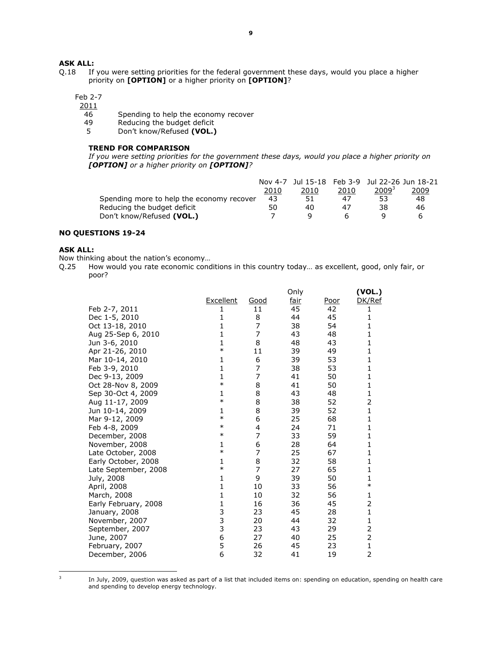# **ASK ALL:**<br>0.18 If

If you were setting priorities for the federal government these days, would you place a higher priority on [OPTION] or a higher priority on [OPTION]?

# Feb 2-7

 $\frac{2011}{46}$ 

- 46 Spending to help the economy recover<br>49 Reducing the budget deficit
- 49 Reducing the budget deficit<br>5 Don't know/Refused (VOL.)
- Don't know/Refused (VOL.)

## TREND FOR COMPARISON

If you were setting priorities for the government these days, would you place a higher priority on [OPTION] or a higher priority on [OPTION]?

|                                           | Nov 4-7 |      |      | Jul 15-18    Feb 3-9    Jul 22-26    Jun 18-21 |              |
|-------------------------------------------|---------|------|------|------------------------------------------------|--------------|
|                                           | 2010    | 2010 | 2010 | $2009^{3}$                                     | <u> 2009</u> |
| Spending more to help the economy recover | 43      | 51   | 47   | 53                                             | 48           |
| Reducing the budget deficit               | 50      | 40   | 47   | 38                                             | 46           |
| Don't know/Refused (VOL.)                 |         |      |      |                                                |              |

## NO QUESTIONS 19-24

# ASK ALL:

Now thinking about the nation's economy...<br>Q.25 How would you rate economic cond How would you rate economic conditions in this country today... as excellent, good, only fair, or poor?

|                      |           |                | Only        |      | (VOL.)         |
|----------------------|-----------|----------------|-------------|------|----------------|
|                      | Excellent | Good           | <u>fair</u> | Poor | DK/Ref         |
| Feb 2-7, 2011        | 1         | 11             | 45          | 42   | 1              |
| Dec 1-5, 2010        | 1         | 8              | 44          | 45   | 1              |
| Oct 13-18, 2010      | 1         | 7              | 38          | 54   | 1              |
| Aug 25-Sep 6, 2010   | 1         | 7              | 43          | 48   | $\mathbf{1}$   |
| Jun 3-6, 2010        | 1         | 8              | 48          | 43   | 1              |
| Apr 21-26, 2010      | $\ast$    | 11             | 39          | 49   | $\mathbf{1}$   |
| Mar 10-14, 2010      | 1         | 6              | 39          | 53   | 1              |
| Feb 3-9, 2010        | 1         | $\overline{7}$ | 38          | 53   | 1              |
| Dec 9-13, 2009       | 1         | 7              | 41          | 50   | 1              |
| Oct 28-Nov 8, 2009   | $\ast$    | 8              | 41          | 50   | 1              |
| Sep 30-Oct 4, 2009   | 1         | 8              | 43          | 48   | 1              |
| Aug 11-17, 2009      | $\ast$    | 8              | 38          | 52   | $\overline{2}$ |
| Jun 10-14, 2009      | 1         | 8              | 39          | 52   | 1              |
| Mar 9-12, 2009       | $\ast$    | 6              | 25          | 68   | 1              |
| Feb 4-8, 2009        | $\ast$    | 4              | 24          | 71   | $\mathbf{1}$   |
| December, 2008       | $\ast$    | 7              | 33          | 59   | $\mathbf{1}$   |
| November, 2008       | 1         | 6              | 28          | 64   | 1              |
| Late October, 2008   | $\ast$    | 7              | 25          | 67   | $\mathbf{1}$   |
| Early October, 2008  | 1         | 8              | 32          | 58   | 1              |
| Late September, 2008 | $\ast$    | 7              | 27          | 65   | $\mathbf{1}$   |
| July, 2008           | 1         | 9              | 39          | 50   | 1              |
| April, 2008          | 1         | 10             | 33          | 56   | $\ast$         |
| March, 2008          | 1         | 10             | 32          | 56   | 1              |
| Early February, 2008 | 1         | 16             | 36          | 45   | 2              |
| January, 2008        | 3         | 23             | 45          | 28   | 1              |
| November, 2007       | 3<br>3    | 20             | 44          | 32   | 1              |
| September, 2007      |           | 23             | 43          | 29   | 2              |
| June, 2007           | 6         | 27             | 40          | 25   | $\overline{c}$ |
| February, 2007       | 5         | 26             | 45          | 23   | $\mathbf{1}$   |
| December, 2006       | 6         | 32             | 41          | 19   | 2              |
|                      |           |                |             |      |                |

 $\overline{a}$ 

<sup>&</sup>lt;sup>3</sup> In July, 2009, question was asked as part of a list that included items on: spending on education, spending on health care and spending to develop energy technology.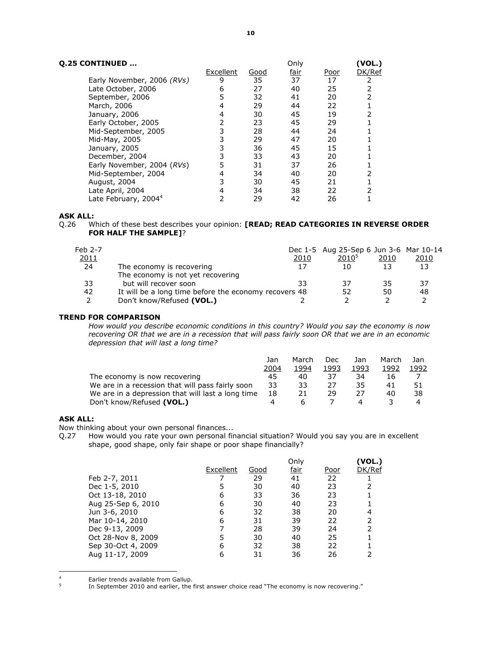|  | <b>Q.25 CONTINUED </b> |  |
|--|------------------------|--|
|--|------------------------|--|

| Q.25 CONTINUED                   |           | Only        |             |             | (VOL.) |
|----------------------------------|-----------|-------------|-------------|-------------|--------|
|                                  | Excellent | <u>Good</u> | <u>fair</u> | <u>Poor</u> | DK/Ref |
| Early November, 2006 (RVs)       | 9         | 35          | 37          | 17          |        |
| Late October, 2006               | 6         | 27          | 40          | 25          |        |
| September, 2006                  | 5         | 32          | 41          | 20          |        |
| March, 2006                      | 4         | 29          | 44          | 22          |        |
| January, 2006                    | 4         | 30          | 45          | 19          |        |
| Early October, 2005              |           | 23          | 45          | 29          |        |
| Mid-September, 2005              |           | 28          | 44          | 24          |        |
| Mid-May, 2005                    |           | 29          | 47          | 20          |        |
| January, 2005                    |           | 36          | 45          | 15          |        |
| December, 2004                   |           | 33          | 43          | 20          |        |
| Early November, 2004 (RVs)       | 5         | 31          | 37          | 26          |        |
| Mid-September, 2004              | 4         | 34          | 40          | 20          |        |
| August, 2004                     |           | 30          | 45          | 21          |        |
| Late April, 2004                 |           | 34          | 38          | 22          |        |
| Late February, 2004 <sup>4</sup> |           | 29          | 42          | 26          |        |

Q.26 Which of these best describes your opinion: [READ; READ CATEGORIES IN REVERSE ORDER FOR HALF THE SAMPLE]?

| Feb 2-7 |                                                       |      | Dec 1-5 Aug 25-Sep 6 Jun 3-6 Mar 10-14 |      |      |
|---------|-------------------------------------------------------|------|----------------------------------------|------|------|
| 2011    |                                                       | 2010 | $2010^{5}$                             | 2010 | 2010 |
| 24      | The economy is recovering                             |      | 10                                     | 13   | 13   |
|         | The economy is not yet recovering                     |      |                                        |      |      |
| 33      | but will recover soon                                 | 33   | 37                                     | 35   | 37   |
| 42      | It will be a long time before the economy recovers 48 |      | 52                                     | 50   | 48   |
|         | Don't know/Refused (VOL.)                             |      |                                        |      |      |
|         |                                                       |      |                                        |      |      |

### TREND FOR COMPARISON

How would you describe economic conditions in this country? Would you say the economy is now recovering OR that we are in a recession that will pass fairly soon OR that we are in an economic depression that will last a long time?

|                                                   | Jan  | March | Dec  | Jan  | March | Jan  |
|---------------------------------------------------|------|-------|------|------|-------|------|
|                                                   | 2004 | 1994  | 1993 | 1993 | 1992  | 1992 |
| The economy is now recovering                     | 45   | 40    | 37   | 34   | 16    |      |
| We are in a recession that will pass fairly soon  | 33   | 33    | 27   | 35   | 41    |      |
| We are in a depression that will last a long time | 18   | 21    | 29   |      | 40    | 38   |
| Don't know/Refused (VOL.)                         |      |       |      |      |       |      |

# ASK ALL:

 $\overline{a}$ 

Now thinking about your own personal finances...<br>Q.27 How would you rate your own personal fir How would you rate your own personal financial situation? Would you say you are in excellent shape, good shape, only fair shape or poor shape financially?

|                    |           |      | Onlv |      | (VOL.) |
|--------------------|-----------|------|------|------|--------|
|                    | Excellent | Good | fair | Poor | DK/Ref |
| Feb 2-7, 2011      |           | 29   | 41   | 22   |        |
| Dec 1-5, 2010      |           | 30   | 40   | 23   |        |
| Oct 13-18, 2010    | 6         | 33   | 36   | 23   |        |
| Aug 25-Sep 6, 2010 | 6         | 30   | 40   | 23   |        |
| Jun 3-6, 2010      | 6         | 32   | 38   | 20   |        |
| Mar 10-14, 2010    | 6         | 31   | 39   | 22   |        |
| Dec 9-13, 2009     |           | 28   | 39   | 24   |        |
| Oct 28-Nov 8, 2009 |           | 30   | 40   | 25   |        |
| Sep 30-Oct 4, 2009 | 6         | 32   | 38   | 22   |        |
| Aug 11-17, 2009    |           | 31   | 36   | 26   |        |

<sup>4</sup> Earlier trends available from Gallup. 5

In September 2010 and earlier, the first answer choice read "The economy is now recovering."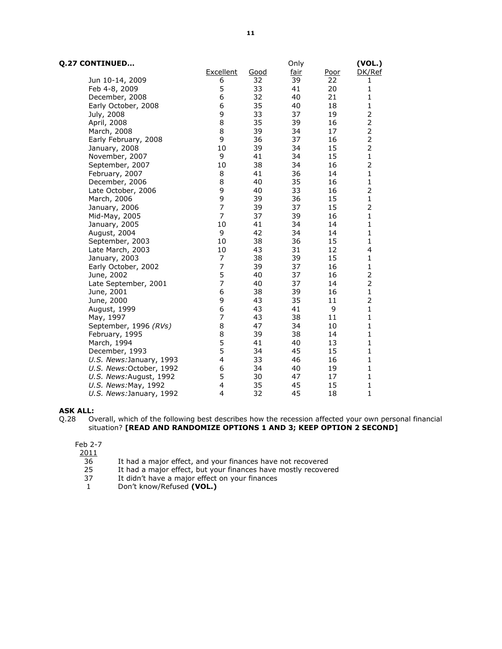| Q.27 CONTINUED           |                |      | Only |             | (VOL.)         |
|--------------------------|----------------|------|------|-------------|----------------|
|                          | Excellent      | Good | fair | <u>Poor</u> | DK/Ref         |
| Jun 10-14, 2009          | 6              | 32   | 39   | 22          | 1              |
| Feb 4-8, 2009            | 5              | 33   | 41   | 20          | 1              |
| December, 2008           | 6              | 32   | 40   | 21          | $\mathbf{1}$   |
| Early October, 2008      | 6              | 35   | 40   | 18          | 1              |
| July, 2008               | 9              | 33   | 37   | 19          | 2              |
| April, 2008              | 8              | 35   | 39   | 16          | $\overline{2}$ |
| March, 2008              | 8              | 39   | 34   | 17          | $\overline{2}$ |
| Early February, 2008     | 9              | 36   | 37   | 16          | $\overline{2}$ |
| January, 2008            | 10             | 39   | 34   | 15          | $\overline{2}$ |
| November, 2007           | 9              | 41   | 34   | 15          | 1              |
| September, 2007          | 10             | 38   | 34   | 16          | $\overline{2}$ |
| February, 2007           | 8              | 41   | 36   | 14          | 1              |
| December, 2006           | 8              | 40   | 35   | 16          | $\mathbf 1$    |
| Late October, 2006       | 9              | 40   | 33   | 16          | $\overline{2}$ |
| March, 2006              | 9              | 39   | 36   | 15          | $\mathbf{1}$   |
| January, 2006            | $\overline{7}$ | 39   | 37   | 15          | $\overline{2}$ |
| Mid-May, 2005            | $\overline{7}$ | 37   | 39   | 16          | $\mathbf{1}$   |
| January, 2005            | 10             | 41   | 34   | 14          | $\mathbf{1}$   |
| August, 2004             | 9              | 42   | 34   | 14          | 1              |
| September, 2003          | 10             | 38   | 36   | 15          | 1              |
| Late March, 2003         | 10             | 43   | 31   | 12          | 4              |
| January, 2003            | 7              | 38   | 39   | 15          | $\mathbf{1}$   |
| Early October, 2002      | $\overline{7}$ | 39   | 37   | 16          | $\mathbf{1}$   |
| June, 2002               | 5              | 40   | 37   | 16          | $\overline{2}$ |
| Late September, 2001     | 7              | 40   | 37   | 14          | $\overline{2}$ |
| June, 2001               | 6              | 38   | 39   | 16          | $\mathbf 1$    |
| June, 2000               | 9              | 43   | 35   | 11          | 2              |
| August, 1999             | 6              | 43   | 41   | 9           | $\mathbf{1}$   |
| May, 1997                | $\overline{7}$ | 43   | 38   | 11          | $\mathbf{1}$   |
| September, 1996 (RVs)    | 8              | 47   | 34   | 10          | $\mathbf{1}$   |
| February, 1995           | 8              | 39   | 38   | 14          | $\mathbf 1$    |
| March, 1994              | 5              | 41   | 40   | 13          | $\mathbf{1}$   |
| December, 1993           | 5              | 34   | 45   | 15          | $\mathbf{1}$   |
| U.S. News: January, 1993 | 4              | 33   | 46   | 16          | $\mathbf{1}$   |
| U.S. News:October, 1992  | 6              | 34   | 40   | 19          | 1              |
| U.S. News:August, 1992   | 5              | 30   | 47   | 17          | $\mathbf{1}$   |
| U.S. News: May, 1992     | 4              | 35   | 45   | 15          | $\mathbf 1$    |
| U.S. News: January, 1992 | 4              | 32   | 45   | 18          | $\mathbf 1$    |

### Feb 2-7

 $\frac{2011}{36}$ 

- 36 It had a major effect, and your finances have not recovered<br>25 It had a major effect, but your finances have mostly recover
- 25 It had a major effect, but your finances have mostly recovered 37 It didn't have a major effect on your finances
- 37 It didn't have a major effect on your finances<br>1 Don't know/Refused (VOL.)
- Don't know/Refused (VOL.)

**ASK ALL:**<br>Q.28 0 Overall, which of the following best describes how the recession affected your own personal financial situation? [READ AND RANDOMIZE OPTIONS 1 AND 3; KEEP OPTION 2 SECOND]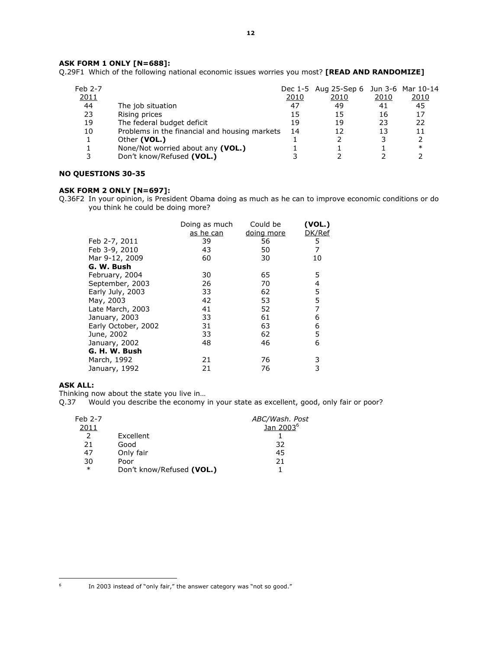# ASK FORM 1 ONLY [N=688]:

Q.29F1 Which of the following national economic issues worries you most? [READ AND RANDOMIZE]

| 2010<br>41<br>16<br>23<br>13 | Dec 1-5 Aug 25-Sep 6 Jun 3-6 Mar 10-14<br><u> 2010</u><br>45<br>17<br>22<br>11<br>$\ast$ |
|------------------------------|------------------------------------------------------------------------------------------|
|                              |                                                                                          |
|                              |                                                                                          |

# NO QUESTIONS 30-35

# ASK FORM 2 ONLY [N=697]:

Q.36F2 In your opinion, is President Obama doing as much as he can to improve economic conditions or do you think he could be doing more?

|                     | Doing as much<br>as he can | Could be<br>doing more | (VOL.)<br>DK/Ref |
|---------------------|----------------------------|------------------------|------------------|
| Feb 2-7, 2011       | 39                         | 56                     | 5                |
| Feb 3-9, 2010       | 43                         | 50                     | 7                |
| Mar 9-12, 2009      | 60                         | 30                     | 10               |
| G. W. Bush          |                            |                        |                  |
| February, 2004      | 30                         | 65                     | 5                |
| September, 2003     | 26                         | 70                     | 4                |
| Early July, 2003    | 33                         | 62                     | 5                |
| May, 2003           | 42                         | 53                     | 5                |
| Late March, 2003    | 41                         | 52                     | 7                |
| January, 2003       | 33                         | 61                     | 6                |
| Early October, 2002 | 31                         | 63                     | 6                |
| June, 2002          | 33                         | 62                     | 5                |
| January, 2002       | 48                         | 46                     | 6                |
| G. H. W. Bush       |                            |                        |                  |
| March, 1992         | 21                         | 76                     | 3                |
| January, 1992       | 21                         | 76                     | 3                |
|                     |                            |                        |                  |

## ASK ALL:

Thinking now about the state you live in…

Q.37 Would you describe the economy in your state as excellent, good, only fair or poor?

| Feb 2-7 |                           | ABC/Wash. Post        |
|---------|---------------------------|-----------------------|
| 2011    |                           | Jan 2003 <sup>6</sup> |
| 2       | Excellent                 |                       |
| 21      | Good                      | 32                    |
| 47      | Only fair                 | 45                    |
| 30      | Poor                      | 21                    |
| $\ast$  | Don't know/Refused (VOL.) |                       |

In 2003 instead of "only fair," the answer category was "not so good."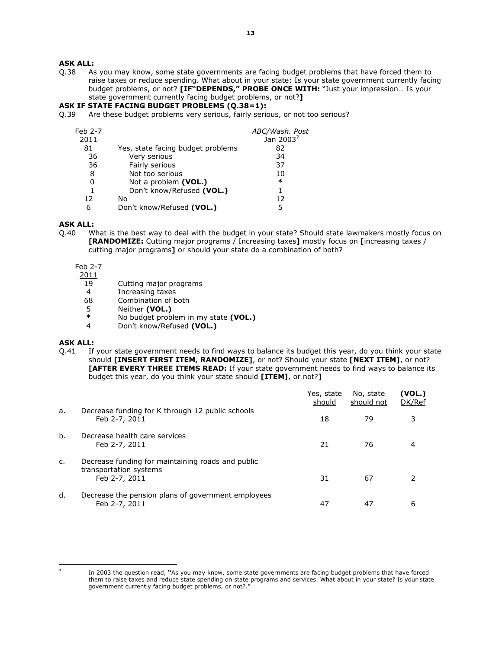- Q.38 As you may know, some state governments are facing budget problems that have forced them to raise taxes or reduce spending. What about in your state: Is your state government currently facing budget problems, or not? [IF"DEPENDS," PROBE ONCE WITH: "Just your impression... Is your state government currently facing budget problems, or not?]
- ASK IF STATE FACING BUDGET PROBLEMS (Q.38=1):
- Q.39 Are these budget problems very serious, fairly serious, or not too serious?

| Feb 2-7 |                                   | ABC/Wash. Post        |
|---------|-----------------------------------|-----------------------|
| 2011    |                                   | Jan 2003 <sup>7</sup> |
| 81      | Yes, state facing budget problems | 82                    |
| 36      | Very serious                      | 34                    |
| 36      | Fairly serious                    | 37                    |
| 8       | Not too serious                   | 10                    |
|         | Not a problem (VOL.)              | $\ast$                |
|         | Don't know/Refused (VOL.)         |                       |
| 12      | No                                | 12                    |
| 6       | Don't know/Refused (VOL.)         |                       |

## ASK ALL:

Q.40 What is the best way to deal with the budget in your state? Should state lawmakers mostly focus on [RANDOMIZE: Cutting major programs / Increasing taxes] mostly focus on [increasing taxes / cutting major programs] or should your state do a combination of both?

Feb 2-7

- $\frac{2011}{19}$ 
	- 19 Cutting major programs<br>4 Increasing taxes
	- 4 Increasing taxes<br>68 Combination of b
	- Combination of both
	- 5 Neither (VOL.)<br>\* No budget prob
	- \* No budget problem in my state (VOL.)<br>4 Don't know/Refused (VOL.)
	- Don't know/Refused (VOL.)

# ASK ALL:

Q.41 If your state government needs to find ways to balance its budget this year, do you think your state should [INSERT FIRST ITEM, RANDOMIZE], or not? Should your state [NEXT ITEM], or not? [AFTER EVERY THREE ITEMS READ: If your state government needs to find ways to balance its budget this year, do you think your state should [ITEM], or not?]

|    |                                                                                              | Yes, state<br>should | No, state<br>should not | (VOL.)<br>DK/Ref |
|----|----------------------------------------------------------------------------------------------|----------------------|-------------------------|------------------|
| a. | Decrease funding for K through 12 public schools<br>Feb 2-7, 2011                            | 18                   | 79                      | 3                |
| b. | Decrease health care services<br>Feb 2-7, 2011                                               | 21                   | 76                      |                  |
| c. | Decrease funding for maintaining roads and public<br>transportation systems<br>Feb 2-7, 2011 | 31                   | 67                      |                  |
| d. | Decrease the pension plans of government employees<br>Feb 2-7, 2011                          | 47                   | 47                      | 6                |

l. 7

In 2003 the question read, "As you may know, some state governments are facing budget problems that have forced them to raise taxes and reduce state spending on state programs and services. What about in your state? Is your state government currently facing budget problems, or not?.'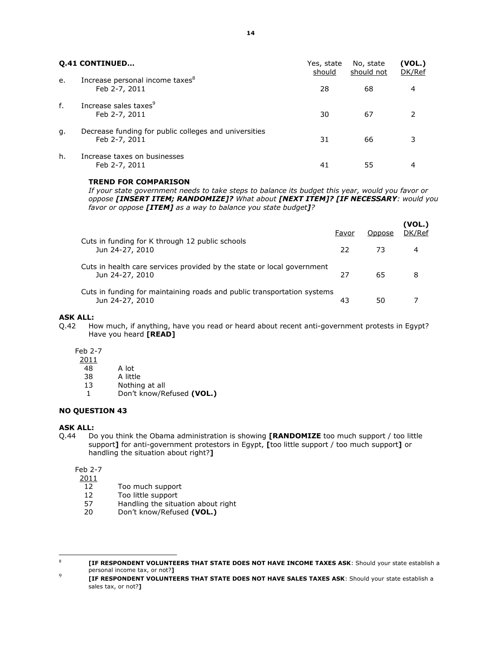|    | <b>Q.41 CONTINUED</b>                                                  | Yes, state<br>should | No, state<br>should not | (VOL.)<br>DK/Ref |
|----|------------------------------------------------------------------------|----------------------|-------------------------|------------------|
| e. | Increase personal income taxes <sup>8</sup><br>Feb 2-7, 2011           | 28                   | 68                      | 4                |
| f. | Increase sales taxes <sup>9</sup><br>Feb 2-7, 2011                     | 30                   | 67                      |                  |
| g. | Decrease funding for public colleges and universities<br>Feb 2-7, 2011 | 31                   | 66                      | 3                |
| h. | Increase taxes on businesses<br>Feb 2-7, 2011                          | 41                   | 55                      |                  |

#### TREND FOR COMPARISON

If your state government needs to take steps to balance its budget this year, would you favor or oppose [INSERT ITEM; RANDOMIZE]? What about [NEXT ITEM]? [IF NECESSARY: would you favor or oppose [ITEM] as a way to balance you state budget]?

|                                                                                            | Favor | Oppose | (VOL.)<br>DK/Ref |
|--------------------------------------------------------------------------------------------|-------|--------|------------------|
| Cuts in funding for K through 12 public schools<br>Jun 24-27, 2010                         | 22.   | 73     | 4                |
| Cuts in health care services provided by the state or local government<br>Jun 24-27, 2010  | 27    | 65     | 8                |
| Cuts in funding for maintaining roads and public transportation systems<br>Jun 24-27, 2010 | 43    | 50     |                  |

#### ASK ALL:

Q.42 How much, if anything, have you read or heard about recent anti-government protests in Egypt? Have you heard [READ]

Feb 2-7

 $\frac{2011}{48}$ 

A lot

38 A little

13 Nothing at all

1 Don't know/Refused (VOL.)

# NO QUESTION 43

## ASK ALL:

 $\overline{a}$ 

Q.44 Do you think the Obama administration is showing [RANDOMIZE too much support / too little support] for anti-government protestors in Egypt, [too little support / too much support] or handling the situation about right?]

Feb 2-7

2011

- 12 Too much support
- 12 Too little support
- 57 Handling the situation about right
- 20 Don't know/Refused (VOL.)

8 [IF RESPONDENT VOLUNTEERS THAT STATE DOES NOT HAVE INCOME TAXES ASK: Should your state establish a personal income tax, or not?] 9

 [IF RESPONDENT VOLUNTEERS THAT STATE DOES NOT HAVE SALES TAXES ASK: Should your state establish a sales tax, or not?]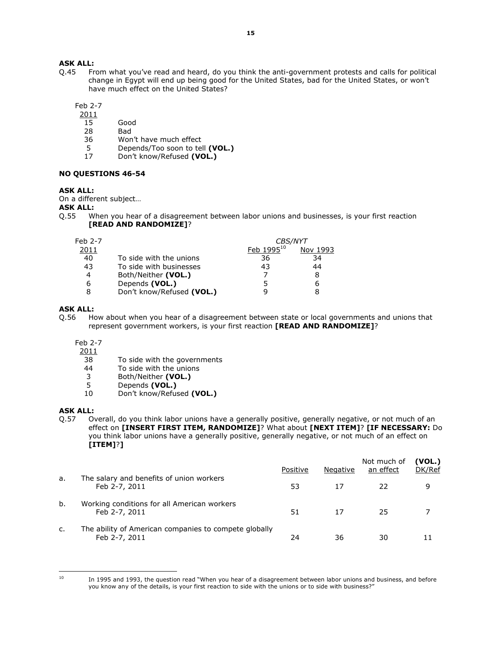Q.45 From what you've read and heard, do you think the anti-government protests and calls for political change in Egypt will end up being good for the United States, bad for the United States, or won't have much effect on the United States?

Feb 2-7

2011

- 15 Good
- 28 Bad
- 36 Won't have much effect<br>5 Depends/Too soon to tel
- 5 Depends/Too soon to tell (VOL.)<br>17 Don't know/Refused (VOL.)
- Don't know/Refused (VOL.)

#### NO QUESTIONS 46-54

#### ASK ALL:

On a different subject…

- ASK ALL:
- Q.55 When you hear of a disagreement between labor unions and businesses, is your first reaction [READ AND RANDOMIZE]?

| Feb 2-7 | <b>CBS/NYT</b>            |                        |          |
|---------|---------------------------|------------------------|----------|
| 2011    |                           | Feb 1995 <sup>10</sup> | Nov 1993 |
| 40      | To side with the unions   | 36                     | 34       |
| 43      | To side with businesses   | 43                     | 44       |
| 4       | Both/Neither (VOL.)       |                        | 8        |
| 6       | Depends (VOL.)            |                        | 6        |
|         | Don't know/Refused (VOL.) |                        | 8        |

#### ASK ALL:

Q.56 How about when you hear of a disagreement between state or local governments and unions that represent government workers, is your first reaction [READ AND RANDOMIZE]?

Feb 2-7

 $\frac{2011}{38}$ 

- 38 To side with the governments<br>44 To side with the unions
- To side with the unions
- 3 Both/Neither (VOL.)
- 5 Depends (VOL.)
- 10 Don't know/Refused (VOL.)

#### ASK ALL:

Q.57 Overall, do you think labor unions have a generally positive, generally negative, or not much of an effect on [INSERT FIRST ITEM, RANDOMIZE]? What about [NEXT ITEM]? [IF NECESSARY: Do you think labor unions have a generally positive, generally negative, or not much of an effect on [ITEM]?]

|    |                                                                        | Positive | Negative | Not much of<br>an effect | (VOL.)<br>DK/Ref |
|----|------------------------------------------------------------------------|----------|----------|--------------------------|------------------|
| a. | The salary and benefits of union workers<br>Feb 2-7, 2011              | 53       | 17       | 22                       | 9                |
| b. | Working conditions for all American workers<br>Feb 2-7, 2011           | 51       | 17       | 25                       |                  |
| c. | The ability of American companies to compete globally<br>Feb 2-7, 2011 | 24       | 36       | 30                       |                  |

 $\overline{a}$ 

<sup>&</sup>lt;sup>10</sup> In 1995 and 1993, the question read "When you hear of a disagreement between labor unions and business, and before you know any of the details, is your first reaction to side with the unions or to side with business?"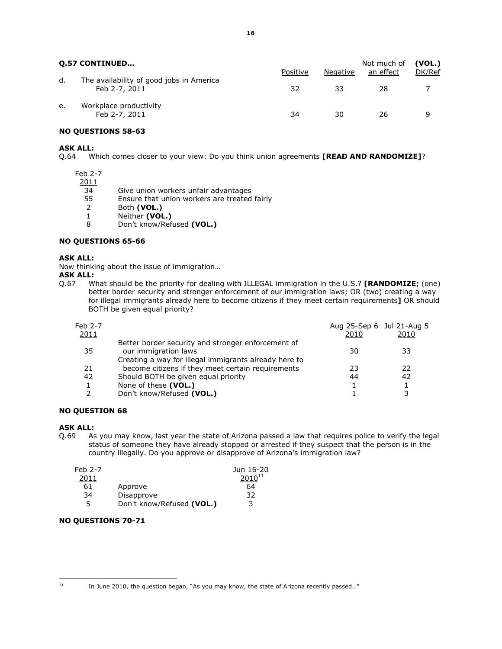| <b>0.57 CONTINUED</b> |                                                           | Positive | Negative | Not much of<br>an effect | (VOL.)<br>DK/Ref |
|-----------------------|-----------------------------------------------------------|----------|----------|--------------------------|------------------|
| d.                    | The availability of good jobs in America<br>Feb 2-7, 2011 | 32       | 33       | 28                       |                  |
| e.                    | Workplace productivity<br>Feb 2-7, 2011                   | 34       | 30       | 26                       | q                |

# NO QUESTIONS 58-63

# ASK ALL:

Q.64 Which comes closer to your view: Do you think union agreements [READ AND RANDOMIZE]?

Feb 2-7

2011

34 Give union workers unfair advantages<br>55 Ensure that union workers are treated

- Ensure that union workers are treated fairly
- 2 Both (VOL.)
- 1 Neither (VOL.)
- 8 Don't know/Refused (VOL.)

# NO QUESTIONS 65-66

#### ASK ALL:

Now thinking about the issue of immigration…

## ASK ALL:

Q.67 What should be the priority for dealing with ILLEGAL immigration in the U.S.? [RANDOMIZE; (one) better border security and stronger enforcement of our immigration laws; OR (two) creating a way for illegal immigrants already here to become citizens if they meet certain requirements] OR should BOTH be given equal priority?

| Feb 2-7<br>2011 |                                                                                                                                     | Aug 25-Sep 6 Jul 21-Aug 5<br>2010 | 2010 |
|-----------------|-------------------------------------------------------------------------------------------------------------------------------------|-----------------------------------|------|
| 35              | Better border security and stronger enforcement of<br>our immigration laws<br>Creating a way for illegal immigrants already here to | 30                                | 33   |
| 21              | become citizens if they meet certain requirements                                                                                   | 23                                | 22   |
| 42              | Should BOTH be given equal priority                                                                                                 | 44                                | 42   |
|                 | None of these (VOL.)                                                                                                                |                                   |      |
|                 | Don't know/Refused (VOL.)                                                                                                           |                                   | 3    |

#### NO QUESTION 68

 $\overline{a}$ 

**ASK ALL:**<br>Q.69 As As you may know, last year the state of Arizona passed a law that requires police to verify the legal status of someone they have already stopped or arrested if they suspect that the person is in the country illegally. Do you approve or disapprove of Arizona's immigration law?

| $Feb$ 2-7 |                           | Jun 16-20   |
|-----------|---------------------------|-------------|
| 2011      |                           | $2010^{11}$ |
| 61        | Approve                   | 64          |
| 34        | Disapprove                | 32          |
|           | Don't know/Refused (VOL.) | 3           |

# NO QUESTIONS 70-71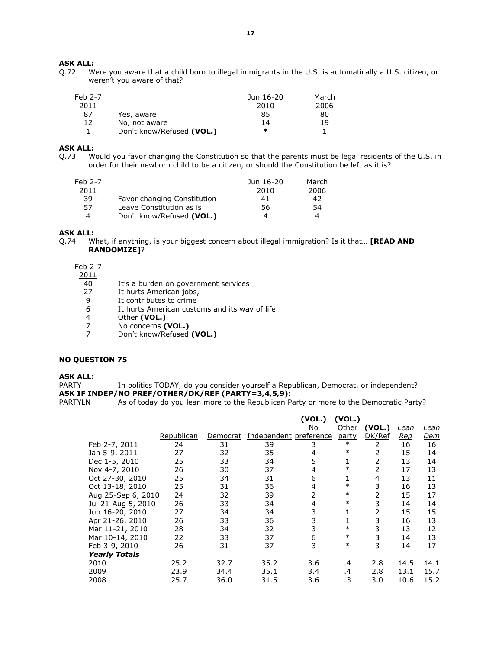Q.72 Were you aware that a child born to illegal immigrants in the U.S. is automatically a U.S. citizen, or weren't you aware of that?

| $Feb$ 2-7 |                           | Jun 16-20 | March |
|-----------|---------------------------|-----------|-------|
| 2011      |                           | 2010      | 2006  |
| 87        | Yes, aware                | 85        | 80    |
| 12        | No, not aware             | 14        | 19    |
|           | Don't know/Refused (VOL.) | ∗         |       |

### ASK ALL:

Q.73 Would you favor changing the Constitution so that the parents must be legal residents of the U.S. in order for their newborn child to be a citizen, or should the Constitution be left as it is?

| Feb 2-7<br>2011 |                             | Jun 16-20<br>2010 | March<br>2006 |
|-----------------|-----------------------------|-------------------|---------------|
| 39              | Favor changing Constitution | 41                | 42            |
| 57              | Leave Constitution as is    | 56                | 54            |
|                 | Don't know/Refused (VOL.)   |                   |               |

# ASK ALL:

Q.74 What, if anything, is your biggest concern about illegal immigration? Is it that... **[READ AND** RANDOMIZE]?

Feb 2-7

 $\frac{2011}{40}$ 

- 40 It's a burden on government services<br>27 It hurts American jobs,
- It hurts American jobs,
- 9 It contributes to crime<br>6 It hurts American custo
- It hurts American customs and its way of life
- 4 Other (VOL.)<br>7 No concerns (
- 7 No concerns (VOL.)<br>7 Don't know/Refused
- Don't know/Refused (VOL.)

#### NO QUESTION 75

ASK ALL:

PARTY In politics TODAY, do you consider yourself a Republican, Democrat, or independent? ASK IF INDEP/NO PREF/OTHER/DK/REF (PARTY=3,4,5,9):

PARTYLN As of today do you lean more to the Republican Party or more to the Democratic Party?

|                      |            |          |                        | (VOL.) | (VOL.) |                |            |            |
|----------------------|------------|----------|------------------------|--------|--------|----------------|------------|------------|
|                      |            |          |                        | No.    | Other  | (VOL.)         | Lean       | Lean       |
|                      | Republican | Democrat | Independent preference |        | party  | DK/Ref         | <u>Rep</u> | <u>Dem</u> |
| Feb 2-7, 2011        | 24         | 31       | 39                     | 3      | $\ast$ | $\overline{2}$ | 16         | 16         |
| Jan 5-9, 2011        | 27         | 32       | 35                     | 4      | $\ast$ | 2              | 15         | 14         |
| Dec 1-5, 2010        | 25         | 33       | 34                     | 5      | 1      | 2              | 13         | 14         |
| Nov 4-7, 2010        | 26         | 30       | 37                     | 4      | $\ast$ | 2              | 17         | 13         |
| Oct 27-30, 2010      | 25         | 34       | 31                     | 6      | 1      | 4              | 13         | 11         |
| Oct 13-18, 2010      | 25         | 31       | 36                     | 4      | $\ast$ | 3              | 16         | 13         |
| Aug 25-Sep 6, 2010   | 24         | 32       | 39                     |        | $\ast$ | 2              | 15         | 17         |
| Jul 21-Aug 5, 2010   | 26         | 33       | 34                     | 4      | $\ast$ | 3              | 14         | 14         |
| Jun 16-20, 2010      | 27         | 34       | 34                     | 3      |        | 2              | 15         | 15         |
| Apr 21-26, 2010      | 26         | 33       | 36                     | 3      | 1      | 3              | 16         | 13         |
| Mar 11-21, 2010      | 28         | 34       | 32                     | 3      | $\ast$ | 3              | 13         | 12         |
| Mar 10-14, 2010      | 22         | 33       | 37                     | 6      | $\ast$ | 3              | 14         | 13         |
| Feb 3-9, 2010        | 26         | 31       | 37                     | 3      | $\ast$ | 3              | 14         | 17         |
| <b>Yearly Totals</b> |            |          |                        |        |        |                |            |            |
| 2010                 | 25.2       | 32.7     | 35.2                   | 3.6    | .4     | 2.8            | 14.5       | 14.1       |
| 2009                 | 23.9       | 34.4     | 35.1                   | 3.4    | .4     | 2.8            | 13.1       | 15.7       |
| 2008                 | 25.7       | 36.0     | 31.5                   | 3.6    | .3     | 3.0            | 10.6       | 15.2       |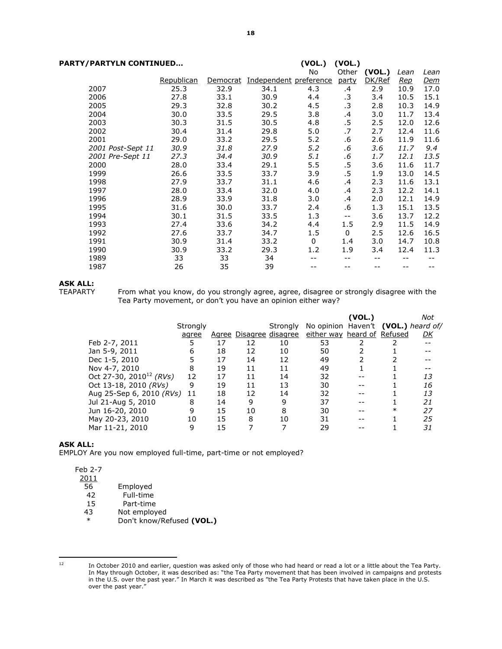| PARTY/PARTYLN CONTINUED |                   |            |                 |                        | (VOL.)<br>(VOL.) |           |        |            |            |
|-------------------------|-------------------|------------|-----------------|------------------------|------------------|-----------|--------|------------|------------|
|                         |                   |            |                 |                        | No               | Other     | (VOL.) | Lean       | Lean       |
|                         |                   | Republican | <u>Democrat</u> | Independent preference |                  | party     | DK/Ref | <u>Rep</u> | <u>Dem</u> |
|                         | 2007              | 25.3       | 32.9            | 34.1                   | 4.3              | .4        | 2.9    | 10.9       | 17.0       |
|                         | 2006              | 27.8       | 33.1            | 30.9                   | 4.4              | $\cdot$ 3 | 3.4    | 10.5       | 15.1       |
|                         | 2005              | 29.3       | 32.8            | 30.2                   | 4.5              | $\cdot$ 3 | 2.8    | 10.3       | 14.9       |
|                         | 2004              | 30.0       | 33.5            | 29.5                   | 3.8              | .4        | 3.0    | 11.7       | 13.4       |
|                         | 2003              | 30.3       | 31.5            | 30.5                   | 4.8              | $.5\,$    | 2.5    | 12.0       | 12.6       |
|                         | 2002              | 30.4       | 31.4            | 29.8                   | 5.0              | .7        | 2.7    | 12.4       | 11.6       |
|                         | 2001              | 29.0       | 33.2            | 29.5                   | 5.2              | .6        | 2.6    | 11.9       | 11.6       |
|                         | 2001 Post-Sept 11 | 30.9       | 31.8            | 27.9                   | 5.2              | .6        | 3.6    | 11.7       | 9.4        |
|                         | 2001 Pre-Sept 11  | 27.3       | 34.4            | 30.9                   | 5.1              | .6        | 1.7    | 12.1       | 13.5       |
|                         | 2000              | 28.0       | 33.4            | 29.1                   | 5.5              | $.5\,$    | 3.6    | 11.6       | 11.7       |
|                         | 1999              | 26.6       | 33.5            | 33.7                   | 3.9              | $.5\,$    | 1.9    | 13.0       | 14.5       |
|                         | 1998              | 27.9       | 33.7            | 31.1                   | 4.6              | .4        | 2.3    | 11.6       | 13.1       |
|                         | 1997              | 28.0       | 33.4            | 32.0                   | 4.0              | .4        | 2.3    | 12.2       | 14.1       |
|                         | 1996              | 28.9       | 33.9            | 31.8                   | 3.0              | .4        | 2.0    | 12.1       | 14.9       |
|                         | 1995              | 31.6       | 30.0            | 33.7                   | 2.4              | .6        | 1.3    | 15.1       | 13.5       |
|                         | 1994              | 30.1       | 31.5            | 33.5                   | 1.3              | $- -$     | 3.6    | 13.7       | 12.2       |
|                         | 1993              | 27.4       | 33.6            | 34.2                   | 4.4              | $1.5\,$   | 2.9    | 11.5       | 14.9       |
|                         | 1992              | 27.6       | 33.7            | 34.7                   | 1.5              | 0         | 2.5    | 12.6       | 16.5       |
|                         | 1991              | 30.9       | 31.4            | 33.2                   | 0                | 1.4       | 3.0    | 14.7       | 10.8       |
|                         | 1990              | 30.9       | 33.2            | 29.3                   | 1.2              | 1.9       | 3.4    | 12.4       | 11.3       |
|                         | 1989              | 33         | 33              | 34                     |                  | --        |        |            |            |
|                         | 1987              | 26         | 35              | 39                     |                  |           |        |            |            |
|                         |                   |            |                 |                        |                  |           |        |            |            |

# **ASK ALL:**<br>TEAPARTY

From what you know, do you strongly agree, agree, disagree or strongly disagree with the Tea Party movement, or don't you have an opinion either way?

|                                     |          |    |    |                         |                                     | (VOL.) |        | Not |
|-------------------------------------|----------|----|----|-------------------------|-------------------------------------|--------|--------|-----|
|                                     | Strongly |    |    | Strongly                | No opinion Haven't (VOL.) heard of/ |        |        |     |
|                                     | agree    |    |    | Agree Disagree disagree | either way heard of Refused         |        |        | DK  |
| Feb 2-7, 2011                       |          | 17 | 12 | 10                      | 53                                  |        |        |     |
| Jan 5-9, 2011                       | 6        | 18 | 12 | 10                      | 50                                  |        |        |     |
| Dec 1-5, 2010                       |          | 17 | 14 | 12                      | 49                                  |        |        |     |
| Nov 4-7, 2010                       | 8        | 19 | 11 | 11                      | 49                                  |        |        |     |
| Oct 27-30, 2010 <sup>12</sup> (RVs) | 12       | 17 | 11 | 14                      | 32                                  |        |        | 13  |
| Oct 13-18, 2010 (RVs)               | 9        | 19 | 11 | 13                      | 30                                  |        |        | 16  |
| Aug 25-Sep 6, 2010 (RVs)            | 11       | 18 | 12 | 14                      | 32                                  |        |        | 13  |
| Jul 21-Aug 5, 2010                  | 8        | 14 | 9  | 9                       | 37                                  |        |        | 21  |
| Jun 16-20, 2010                     | q        | 15 | 10 | 8                       | 30                                  |        | $\ast$ | 27  |
| May 20-23, 2010                     | 10       | 15 | 8  | 10                      | 31                                  |        |        | 25  |
| Mar 11-21, 2010                     | 9        | 15 |    |                         | 29                                  |        |        | 31  |
|                                     |          |    |    |                         |                                     |        |        |     |

# ASK ALL:

EMPLOY Are you now employed full-time, part-time or not employed?

Feb 2-7

 $\frac{2011}{56}$ 

- 56 Employed<br>42 Full-time
- Full-time
- 15 Part-time
- 43 Not employed<br>  $*$  Don't know/Pe
	- Don't know/Refused (VOL.)

 $\overline{a}$ 

<sup>&</sup>lt;sup>12</sup> In October 2010 and earlier, question was asked only of those who had heard or read a lot or a little about the Tea Party. In May through October, it was described as: "the Tea Party movement that has been involved in campaigns and protests in the U.S. over the past year." In March it was described as "the Tea Party Protests that have taken place in the U.S. over the past year."